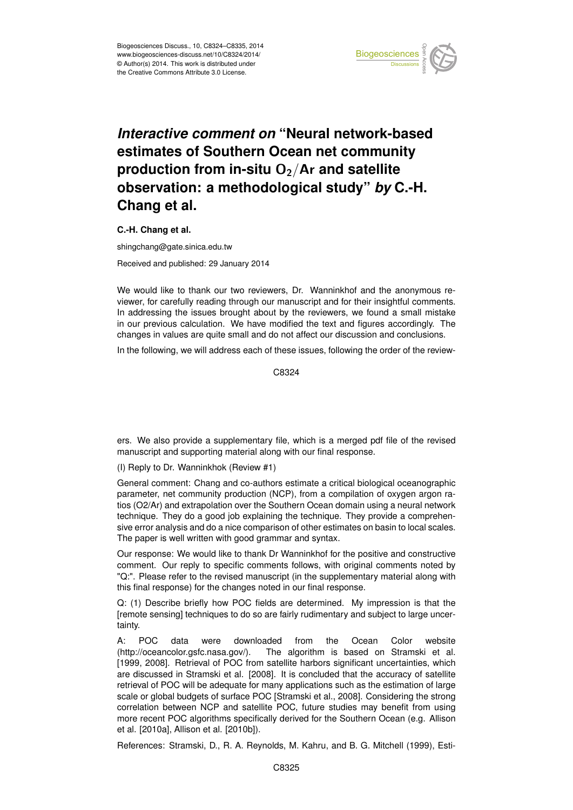

## *Interactive comment on* **"Neural network-based estimates of Southern Ocean net community** production from in-situ O<sub>2</sub>/Ar and satellite **observation: a methodological study"** *by* **C.-H. Chang et al.**

**C.-H. Chang et al.**

shingchang@gate.sinica.edu.tw Received and published: 29 January 2014

We would like to thank our two reviewers, Dr. Wanninkhof and the anonymous reviewer, for carefully reading through our manuscript and for their insightful comments. In addressing the issues brought about by the reviewers, we found a small mistake in our previous calculation. We have modified the text and figures accordingly. The changes in values are quite small and do not affect our discussion and conclusions.

In the following, we will address each of these issues, following the order of the review-

C8324

ers. We also provide a supplementary file, which is a merged pdf file of the revised manuscript and supporting material along with our final response.

(I) Reply to Dr. Wanninkhok (Review #1)

General comment: Chang and co-authors estimate a critical biological oceanographic parameter, net community production (NCP), from a compilation of oxygen argon ratios (O2/Ar) and extrapolation over the Southern Ocean domain using a neural network technique. They do a good job explaining the technique. They provide a comprehensive error analysis and do a nice comparison of other estimates on basin to local scales. The paper is well written with good grammar and syntax.

Our response: We would like to thank Dr Wanninkhof for the positive and constructive comment. Our reply to specific comments follows, with original comments noted by "Q:". Please refer to the revised manuscript (in the supplementary material along with this final response) for the changes noted in our final response.

Q: (1) Describe briefly how POC fields are determined. My impression is that the [remote sensing] techniques to do so are fairly rudimentary and subject to large uncertainty.

A: POC data were downloaded from the Ocean Color website (http://oceancolor.gsfc.nasa.gov/). The algorithm is based on Stramski et al. [1999, 2008]. Retrieval of POC from satellite harbors significant uncertainties, which are discussed in Stramski et al. [2008]. It is concluded that the accuracy of satellite retrieval of POC will be adequate for many applications such as the estimation of large scale or global budgets of surface POC [Stramski et al., 2008]. Considering the strong correlation between NCP and satellite POC, future studies may benefit from using more recent POC algorithms specifically derived for the Southern Ocean (e.g. Allison et al. [2010a], Allison et al. [2010b]).

References: Stramski, D., R. A. Reynolds, M. Kahru, and B. G. Mitchell (1999), Esti-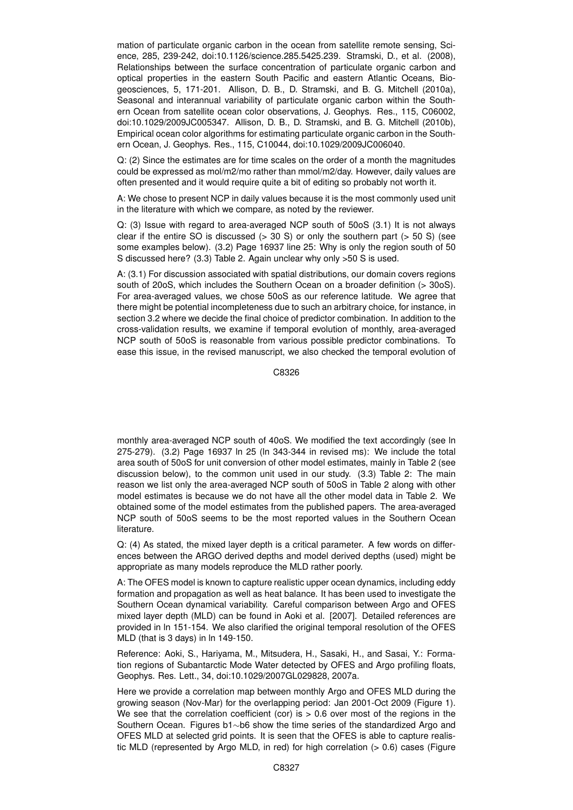mation of particulate organic carbon in the ocean from satellite remote sensing, Science, 285, 239-242, doi:10.1126/science.285.5425.239. Stramski, D., et al. (2008), Relationships between the surface concentration of particulate organic carbon and optical properties in the eastern South Pacific and eastern Atlantic Oceans, Biogeosciences, 5, 171-201. Allison, D. B., D. Stramski, and B. G. Mitchell (2010a), Seasonal and interannual variability of particulate organic carbon within the Southern Ocean from satellite ocean color observations, J. Geophys. Res., 115, C06002, doi:10.1029/2009JC005347. Allison, D. B., D. Stramski, and B. G. Mitchell (2010b), Empirical ocean color algorithms for estimating particulate organic carbon in the Southern Ocean, J. Geophys. Res., 115, C10044, doi:10.1029/2009JC006040.

Q: (2) Since the estimates are for time scales on the order of a month the magnitudes could be expressed as mol/m2/mo rather than mmol/m2/day. However, daily values are often presented and it would require quite a bit of editing so probably not worth it.

A: We chose to present NCP in daily values because it is the most commonly used unit in the literature with which we compare, as noted by the reviewer.

Q: (3) Issue with regard to area-averaged NCP south of 50oS (3.1) It is not always clear if the entire SO is discussed  $(> 30 S)$  or only the southern part  $(> 50 S)$  (see some examples below). (3.2) Page 16937 line 25: Why is only the region south of 50 S discussed here? (3.3) Table 2. Again unclear why only >50 S is used.

A: (3.1) For discussion associated with spatial distributions, our domain covers regions south of 20oS, which includes the Southern Ocean on a broader definition (> 30oS). For area-averaged values, we chose 50oS as our reference latitude. We agree that there might be potential incompleteness due to such an arbitrary choice, for instance, in section 3.2 where we decide the final choice of predictor combination. In addition to the cross-validation results, we examine if temporal evolution of monthly, area-averaged NCP south of 50oS is reasonable from various possible predictor combinations. To ease this issue, in the revised manuscript, we also checked the temporal evolution of

C8326

monthly area-averaged NCP south of 40oS. We modified the text accordingly (see ln 275-279). (3.2) Page 16937 ln 25 (ln 343-344 in revised ms): We include the total area south of 50oS for unit conversion of other model estimates, mainly in Table 2 (see discussion below), to the common unit used in our study. (3.3) Table 2: The main reason we list only the area-averaged NCP south of 50oS in Table 2 along with other model estimates is because we do not have all the other model data in Table 2. We obtained some of the model estimates from the published papers. The area-averaged NCP south of 50oS seems to be the most reported values in the Southern Ocean literature.

Q: (4) As stated, the mixed layer depth is a critical parameter. A few words on differences between the ARGO derived depths and model derived depths (used) might be appropriate as many models reproduce the MLD rather poorly.

A: The OFES model is known to capture realistic upper ocean dynamics, including eddy formation and propagation as well as heat balance. It has been used to investigate the Southern Ocean dynamical variability. Careful comparison between Argo and OFES mixed layer depth (MLD) can be found in Aoki et al. [2007]. Detailed references are provided in ln 151-154. We also clarified the original temporal resolution of the OFES MLD (that is 3 days) in ln 149-150.

Reference: Aoki, S., Hariyama, M., Mitsudera, H., Sasaki, H., and Sasai, Y.: Formation regions of Subantarctic Mode Water detected by OFES and Argo profiling floats, Geophys. Res. Lett., 34, doi:10.1029/2007GL029828, 2007a.

Here we provide a correlation map between monthly Argo and OFES MLD during the growing season (Nov-Mar) for the overlapping period: Jan 2001-Oct 2009 (Figure 1). We see that the correlation coefficient (cor) is  $> 0.6$  over most of the regions in the Southern Ocean. Figures b1∼b6 show the time series of the standardized Argo and OFES MLD at selected grid points. It is seen that the OFES is able to capture realistic MLD (represented by Argo MLD, in red) for high correlation (> 0.6) cases (Figure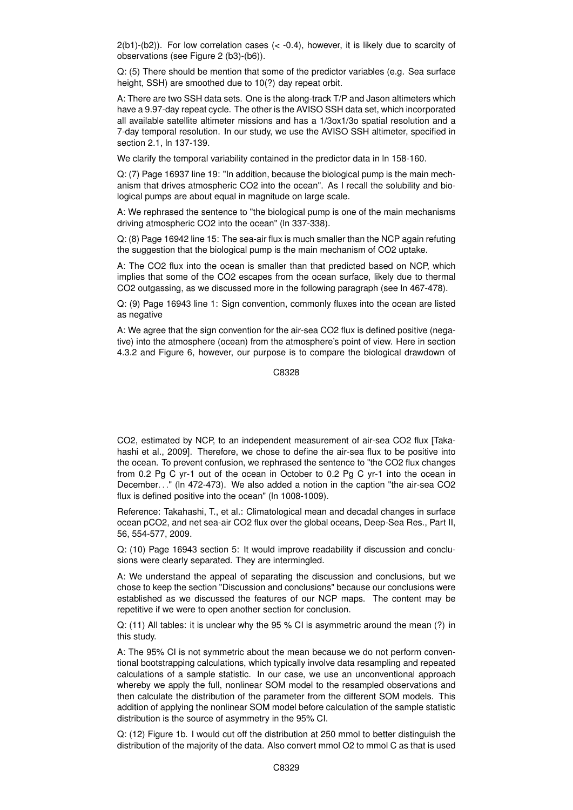$2(b1)-(b2)$ ). For low correlation cases ( $\lt -0.4$ ), however, it is likely due to scarcity of observations (see Figure 2 (b3)-(b6)).

Q: (5) There should be mention that some of the predictor variables (e.g. Sea surface height, SSH) are smoothed due to 10(?) day repeat orbit.

A: There are two SSH data sets. One is the along-track T/P and Jason altimeters which have a 9.97-day repeat cycle. The other is the AVISO SSH data set, which incorporated all available satellite altimeter missions and has a 1/3ox1/3o spatial resolution and a 7-day temporal resolution. In our study, we use the AVISO SSH altimeter, specified in section 2.1, ln 137-139.

We clarify the temporal variability contained in the predictor data in ln 158-160.

Q: (7) Page 16937 line 19: "In addition, because the biological pump is the main mechanism that drives atmospheric CO2 into the ocean". As I recall the solubility and biological pumps are about equal in magnitude on large scale.

A: We rephrased the sentence to "the biological pump is one of the main mechanisms driving atmospheric CO2 into the ocean" (ln 337-338).

Q: (8) Page 16942 line 15: The sea-air flux is much smaller than the NCP again refuting the suggestion that the biological pump is the main mechanism of CO2 uptake.

A: The CO2 flux into the ocean is smaller than that predicted based on NCP, which implies that some of the CO2 escapes from the ocean surface, likely due to thermal CO2 outgassing, as we discussed more in the following paragraph (see ln 467-478).

Q: (9) Page 16943 line 1: Sign convention, commonly fluxes into the ocean are listed as negative

A: We agree that the sign convention for the air-sea CO2 flux is defined positive (negative) into the atmosphere (ocean) from the atmosphere's point of view. Here in section 4.3.2 and Figure 6, however, our purpose is to compare the biological drawdown of

C8328

CO2, estimated by NCP, to an independent measurement of air-sea CO2 flux [Takahashi et al., 2009]. Therefore, we chose to define the air-sea flux to be positive into the ocean. To prevent confusion, we rephrased the sentence to "the CO2 flux changes from 0.2 Pg C yr-1 out of the ocean in October to 0.2 Pg C yr-1 into the ocean in December. . ." (ln 472-473). We also added a notion in the caption "the air-sea CO2 flux is defined positive into the ocean" (ln 1008-1009).

Reference: Takahashi, T., et al.: Climatological mean and decadal changes in surface ocean pCO2, and net sea-air CO2 flux over the global oceans, Deep-Sea Res., Part II, 56, 554-577, 2009.

Q: (10) Page 16943 section 5: It would improve readability if discussion and conclusions were clearly separated. They are intermingled.

A: We understand the appeal of separating the discussion and conclusions, but we chose to keep the section "Discussion and conclusions" because our conclusions were established as we discussed the features of our NCP maps. The content may be repetitive if we were to open another section for conclusion.

Q: (11) All tables: it is unclear why the 95 % CI is asymmetric around the mean (?) in this study.

A: The 95% CI is not symmetric about the mean because we do not perform conventional bootstrapping calculations, which typically involve data resampling and repeated calculations of a sample statistic. In our case, we use an unconventional approach whereby we apply the full, nonlinear SOM model to the resampled observations and then calculate the distribution of the parameter from the different SOM models. This addition of applying the nonlinear SOM model before calculation of the sample statistic distribution is the source of asymmetry in the 95% CI.

Q: (12) Figure 1b. I would cut off the distribution at 250 mmol to better distinguish the distribution of the majority of the data. Also convert mmol O2 to mmol C as that is used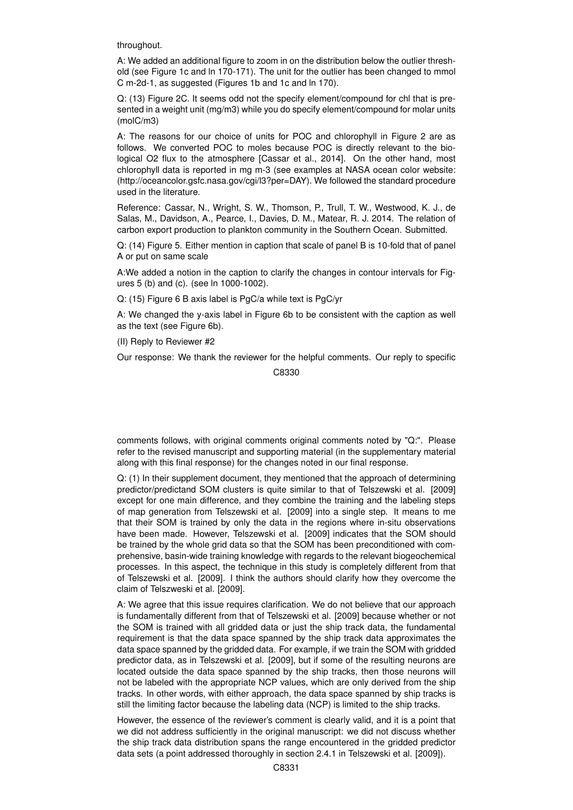throughout.

A: We added an additional figure to zoom in on the distribution below the outlier threshold (see Figure 1c and ln 170-171). The unit for the outlier has been changed to mmol C m-2d-1, as suggested (Figures 1b and 1c and ln 170).

Q: (13) Figure 2C. It seems odd not the specify element/compound for chl that is presented in a weight unit (mg/m3) while you do specify element/compound for molar units (molC/m3)

A: The reasons for our choice of units for POC and chlorophyll in Figure 2 are as follows. We converted POC to moles because POC is directly relevant to the biological O2 flux to the atmosphere [Cassar et al., 2014]. On the other hand, most chlorophyll data is reported in mg m-3 (see examples at NASA ocean color website: (http://oceancolor.gsfc.nasa.gov/cgi/l3?per=DAY). We followed the standard procedure used in the literature.

Reference: Cassar, N., Wright, S. W., Thomson, P., Trull, T. W., Westwood, K. J., de Salas, M., Davidson, A., Pearce, I., Davies, D. M., Matear, R. J. 2014. The relation of carbon export production to plankton community in the Southern Ocean. Submitted.

Q: (14) Figure 5. Either mention in caption that scale of panel B is 10-fold that of panel A or put on same scale

A:We added a notion in the caption to clarify the changes in contour intervals for Figures 5 (b) and (c). (see ln 1000-1002).

Q: (15) Figure 6 B axis label is PgC/a while text is PgC/yr

A: We changed the y-axis label in Figure 6b to be consistent with the caption as well as the text (see Figure 6b).

(II) Reply to Reviewer #2

Our response: We thank the reviewer for the helpful comments. Our reply to specific C8330

comments follows, with original comments original comments noted by "Q:". Please refer to the revised manuscript and supporting material (in the supplementary material along with this final response) for the changes noted in our final response.

Q: (1) In their supplement document, they mentioned that the approach of determining predictor/predictand SOM clusters is quite similar to that of Telszewski et al. [2009] except for one main difference, and they combine the training and the labeling steps of map generation from Telszewski et al. [2009] into a single step. It means to me that their SOM is trained by only the data in the regions where in-situ observations have been made. However, Telszewski et al. [2009] indicates that the SOM should be trained by the whole grid data so that the SOM has been preconditioned with comprehensive, basin-wide training knowledge with regards to the relevant biogeochemical processes. In this aspect, the technique in this study is completely different from that of Telszewski et al. [2009]. I think the authors should clarify how they overcome the claim of Telszweski et al. [2009].

A: We agree that this issue requires clarification. We do not believe that our approach is fundamentally different from that of Telszewski et al. [2009] because whether or not the SOM is trained with all gridded data or just the ship track data, the fundamental requirement is that the data space spanned by the ship track data approximates the data space spanned by the gridded data. For example, if we train the SOM with gridded predictor data, as in Telszewski et al. [2009], but if some of the resulting neurons are located outside the data space spanned by the ship tracks, then those neurons will not be labeled with the appropriate NCP values, which are only derived from the ship tracks. In other words, with either approach, the data space spanned by ship tracks is still the limiting factor because the labeling data (NCP) is limited to the ship tracks.

However, the essence of the reviewer's comment is clearly valid, and it is a point that we did not address sufficiently in the original manuscript: we did not discuss whether the ship track data distribution spans the range encountered in the gridded predictor data sets (a point addressed thoroughly in section 2.4.1 in Telszewski et al. [2009]).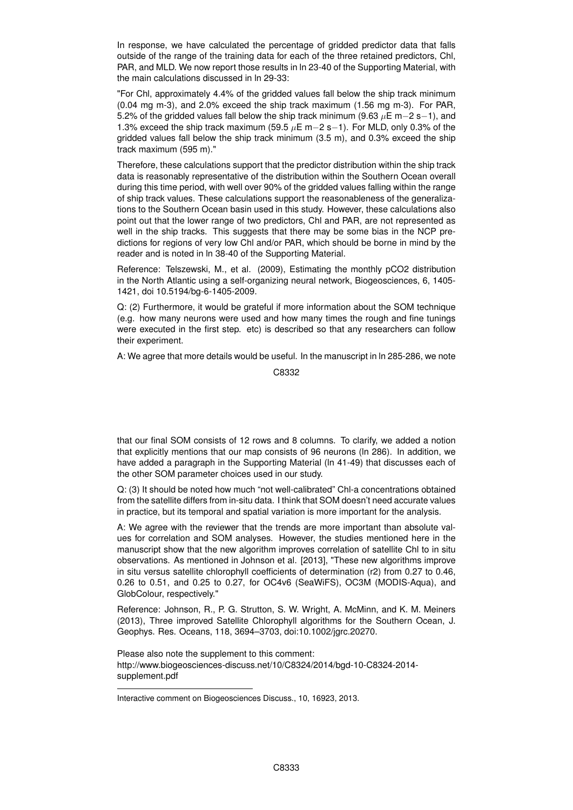In response, we have calculated the percentage of gridded predictor data that falls outside of the range of the training data for each of the three retained predictors, Chl, PAR, and MLD. We now report those results in ln 23-40 of the Supporting Material, with the main calculations discussed in ln 29-33:

"For Chl, approximately 4.4% of the gridded values fall below the ship track minimum (0.04 mg m-3), and 2.0% exceed the ship track maximum (1.56 mg m-3). For PAR, 5.2% of the gridded values fall below the ship track minimum (9.63  $\mu$ E m−2 s−1), and 1.3% exceed the ship track maximum (59.5  $\mu$ E m−2 s−1). For MLD, only 0.3% of the gridded values fall below the ship track minimum (3.5 m), and 0.3% exceed the ship track maximum (595 m)."

Therefore, these calculations support that the predictor distribution within the ship track data is reasonably representative of the distribution within the Southern Ocean overall during this time period, with well over 90% of the gridded values falling within the range of ship track values. These calculations support the reasonableness of the generalizations to the Southern Ocean basin used in this study. However, these calculations also point out that the lower range of two predictors, Chl and PAR, are not represented as well in the ship tracks. This suggests that there may be some bias in the NCP predictions for regions of very low Chl and/or PAR, which should be borne in mind by the reader and is noted in ln 38-40 of the Supporting Material.

Reference: Telszewski, M., et al. (2009), Estimating the monthly pCO2 distribution in the North Atlantic using a self-organizing neural network, Biogeosciences, 6, 1405- 1421, doi 10.5194/bg-6-1405-2009.

Q: (2) Furthermore, it would be grateful if more information about the SOM technique (e.g. how many neurons were used and how many times the rough and fine tunings were executed in the first step. etc) is described so that any researchers can follow their experiment.

A: We agree that more details would be useful. In the manuscript in ln 285-286, we note

C8332

that our final SOM consists of 12 rows and 8 columns. To clarify, we added a notion that explicitly mentions that our map consists of 96 neurons (ln 286). In addition, we have added a paragraph in the Supporting Material (ln 41-49) that discusses each of the other SOM parameter choices used in our study.

Q: (3) It should be noted how much "not well-calibrated" Chl-a concentrations obtained from the satellite differs from in-situ data. I think that SOM doesn't need accurate values in practice, but its temporal and spatial variation is more important for the analysis.

A: We agree with the reviewer that the trends are more important than absolute values for correlation and SOM analyses. However, the studies mentioned here in the manuscript show that the new algorithm improves correlation of satellite Chl to in situ observations. As mentioned in Johnson et al. [2013], "These new algorithms improve in situ versus satellite chlorophyll coefficients of determination (r2) from 0.27 to 0.46, 0.26 to 0.51, and 0.25 to 0.27, for OC4v6 (SeaWiFS), OC3M (MODIS-Aqua), and GlobColour, respectively."

Reference: Johnson, R., P. G. Strutton, S. W. Wright, A. McMinn, and K. M. Meiners (2013), Three improved Satellite Chlorophyll algorithms for the Southern Ocean, J. Geophys. Res. Oceans, 118, 3694–3703, doi:10.1002/jgrc.20270.

Please also note the supplement to this comment: http://www.biogeosciences-discuss.net/10/C8324/2014/bgd-10-C8324-2014 supplement.pdf

Interactive comment on Biogeosciences Discuss., 10, 16923, 2013.